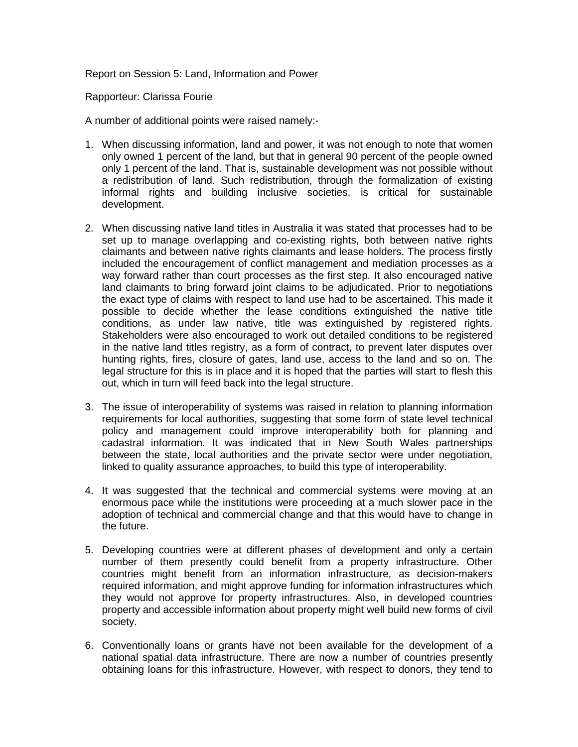Report on Session 5: Land, Information and Power

Rapporteur: Clarissa Fourie

A number of additional points were raised namely:-

- 1. When discussing information, land and power, it was not enough to note that women only owned 1 percent of the land, but that in general 90 percent of the people owned only 1 percent of the land. That is, sustainable development was not possible without a redistribution of land. Such redistribution, through the formalization of existing informal rights and building inclusive societies, is critical for sustainable development.
- 2. When discussing native land titles in Australia it was stated that processes had to be set up to manage overlapping and co-existing rights, both between native rights claimants and between native rights claimants and lease holders. The process firstly included the encouragement of conflict management and mediation processes as a way forward rather than court processes as the first step. It also encouraged native land claimants to bring forward joint claims to be adjudicated. Prior to negotiations the exact type of claims with respect to land use had to be ascertained. This made it possible to decide whether the lease conditions extinguished the native title conditions, as under law native, title was extinguished by registered rights. Stakeholders were also encouraged to work out detailed conditions to be registered in the native land titles registry, as a form of contract, to prevent later disputes over hunting rights, fires, closure of gates, land use, access to the land and so on. The legal structure for this is in place and it is hoped that the parties will start to flesh this out, which in turn will feed back into the legal structure.
- 3. The issue of interoperability of systems was raised in relation to planning information requirements for local authorities, suggesting that some form of state level technical policy and management could improve interoperability both for planning and cadastral information. It was indicated that in New South Wales partnerships between the state, local authorities and the private sector were under negotiation, linked to quality assurance approaches, to build this type of interoperability.
- 4. It was suggested that the technical and commercial systems were moving at an enormous pace while the institutions were proceeding at a much slower pace in the adoption of technical and commercial change and that this would have to change in the future.
- 5. Developing countries were at different phases of development and only a certain number of them presently could benefit from a property infrastructure. Other countries might benefit from an information infrastructure, as decision-makers required information, and might approve funding for information infrastructures which they would not approve for property infrastructures. Also, in developed countries property and accessible information about property might well build new forms of civil society.
- 6. Conventionally loans or grants have not been available for the development of a national spatial data infrastructure. There are now a number of countries presently obtaining loans for this infrastructure. However, with respect to donors, they tend to